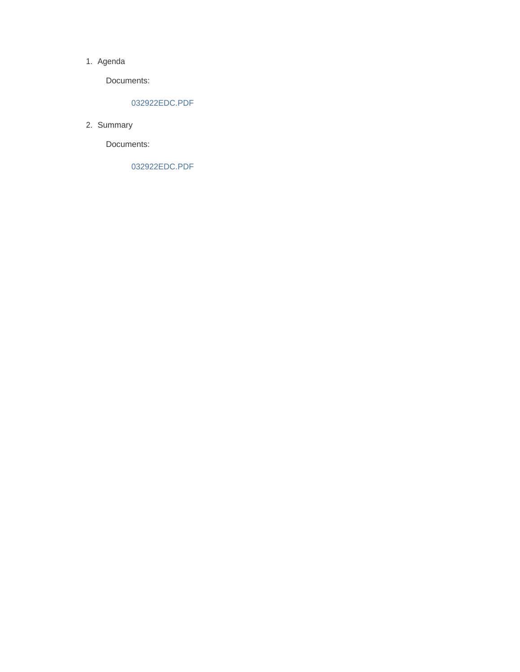#### 1. Agenda

Documents:

#### 032922EDC.PDF

2. Summary

Documents:

032922EDC.PDF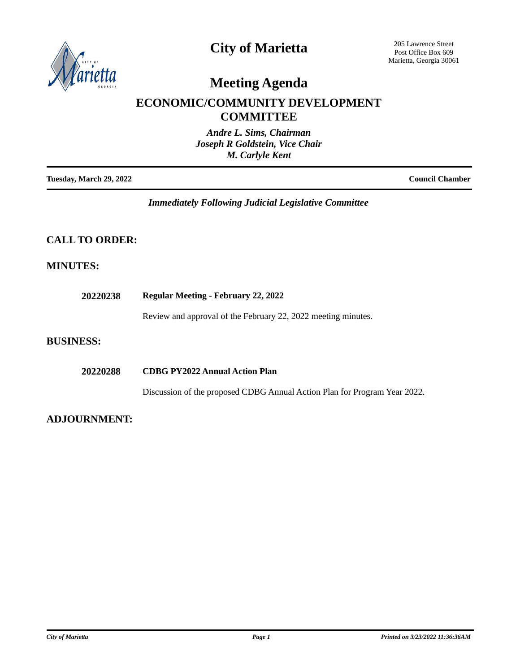

### **City of Marietta**

205 Lawrence Street Post Office Box 609 Marietta, Georgia 30061

# **Meeting Agenda**

### **ECONOMIC/COMMUNITY DEVELOPMENT COMMITTEE**

| Andre L. Sims, Chairman        |
|--------------------------------|
| Joseph R Goldstein, Vice Chair |
| <b>M. Carlyle Kent</b>         |
|                                |

**Tuesday, March 29, 2022 Council Chamber**

*Immediately Following Judicial Legislative Committee*

#### **CALL TO ORDER:**

#### **MINUTES:**

| <b>Regular Meeting - February 22, 2022</b>                                |
|---------------------------------------------------------------------------|
| Review and approval of the February 22, 2022 meeting minutes.             |
|                                                                           |
| <b>CDBG PY2022 Annual Action Plan</b>                                     |
| Discussion of the proposed CDBG Annual Action Plan for Program Year 2022. |
|                                                                           |

#### **ADJOURNMENT:**